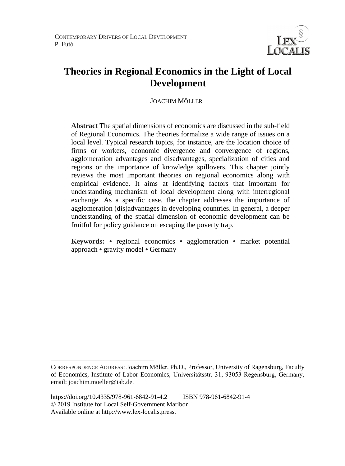

# **Theories in Regional Economics in the Light of Local Development**

JOACHIM MÖLLER<sup>3</sup>

**Abstract** The spatial dimensions of economics are discussed in the sub-field of Regional Economics. The theories formalize a wide range of issues on a local level. Typical research topics, for instance, are the location choice of firms or workers, economic divergence and convergence of regions, agglomeration advantages and disadvantages, specialization of cities and regions or the importance of knowledge spillovers. This chapter jointly reviews the most important theories on regional economics along with empirical evidence. It aims at identifying factors that important for understanding mechanism of local development along with interregional exchange. As a specific case, the chapter addresses the importance of agglomeration (dis)advantages in developing countries. In general, a deeper understanding of the spatial dimension of economic development can be fruitful for policy guidance on escaping the poverty trap.

**Keywords: •** regional economics **•** agglomeration **•** market potential approach **•** gravity model **•** Germany

 $\overline{a}$ 

CORRESPONDENCE ADDRESS: Joachim Möller, Ph.D., Professor, University of Ragensburg, Faculty of Economics, Institute of Labor Economics, Universitätsstr. 31, 93053 Regensburg, Germany, email: joachim.moeller@iab.de.

https://doi.org/10.4335/978-961-6842-91-4.2 ISBN 978-961-6842-91-4 © 2019 Institute for Local Self-Government Maribor Available online at http://www.lex-localis.press.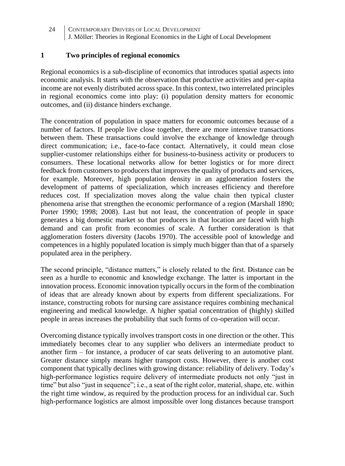#### **1 Two principles of regional economics**

Regional economics is a sub-discipline of economics that introduces spatial aspects into economic analysis. It starts with the observation that productive activities and per-capita income are not evenly distributed across space. In this context, two interrelated principles in regional economics come into play: (i) population density matters for economic outcomes, and (ii) distance hinders exchange.

The concentration of population in space matters for economic outcomes because of a number of factors. If people live close together, there are more intensive transactions between them. These transactions could involve the exchange of knowledge through direct communication; i.e., face-to-face contact. Alternatively, it could mean close supplier-customer relationships either for business-to-business activity or producers to consumers. These locational networks allow for better logistics or for more direct feedback from customers to producers that improves the quality of products and services, for example. Moreover, high population density in an agglomeration fosters the development of patterns of specialization, which increases efficiency and therefore reduces cost. If specialization moves along the value chain then typical cluster phenomena arise that strengthen the economic performance of a region (Marshall 1890; Porter 1990; 1998; 2008). Last but not least, the concentration of people in space generates a big domestic market so that producers in that location are faced with high demand and can profit from economies of scale. A further consideration is that agglomeration fosters diversity (Jacobs 1970). The accessible pool of knowledge and competences in a highly populated location is simply much bigger than that of a sparsely populated area in the periphery.

The second principle, "distance matters," is closely related to the first. Distance can be seen as a hurdle to economic and knowledge exchange. The latter is important in the innovation process. Economic innovation typically occurs in the form of the combination of ideas that are already known about by experts from different specializations. For instance, constructing robots for nursing care assistance requires combining mechanical engineering and medical knowledge. A higher spatial concentration of (highly) skilled people in areas increases the probability that such forms of co-operation will occur.

Overcoming distance typically involves transport costs in one direction or the other. This immediately becomes clear to any supplier who delivers an intermediate product to another firm – for instance, a producer of car seats delivering to an automotive plant. Greater distance simply means higher transport costs. However, there is another cost component that typically declines with growing distance: reliability of delivery. Today's high-performance logistics require delivery of intermediate products not only "just in time" but also "just in sequence"; i.e., a seat of the right color, material, shape, etc. within the right time window, as required by the production process for an individual car. Such high-performance logistics are almost impossible over long distances because transport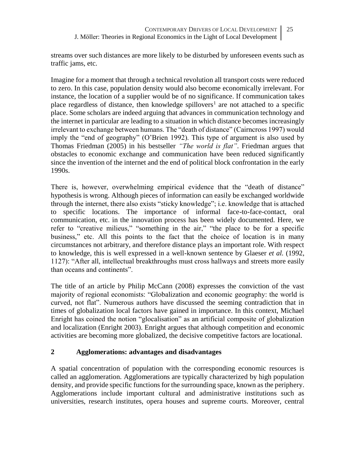streams over such distances are more likely to be disturbed by unforeseen events such as traffic jams, etc.

Imagine for a moment that through a technical revolution all transport costs were reduced to zero. In this case, population density would also become economically irrelevant. For instance, the location of a supplier would be of no significance. If communication takes place regardless of distance, then knowledge spillovers<sup>1</sup> are not attached to a specific place. Some scholars are indeed arguing that advances in communication technology and the internet in particular are leading to a situation in which distance becomes increasingly irrelevant to exchange between humans. The "death of distance" (Cairncross 1997) would imply the "end of geography" (O'Brien 1992). This type of argument is also used by Thomas Friedman (2005) in his bestseller *"The world is flat"*. Friedman argues that obstacles to economic exchange and communication have been reduced significantly since the invention of the internet and the end of political block confrontation in the early 1990s.

There is, however, overwhelming empirical evidence that the "death of distance" hypothesis is wrong. Although pieces of information can easily be exchanged worldwide through the internet, there also exists "sticky knowledge"; i.e. knowledge that is attached to specific locations. The importance of informal face-to-face-contact, oral communication, etc. in the innovation process has been widely documented. Here, we refer to "creative milieus," "something in the air," "the place to be for a specific business," etc. All this points to the fact that the choice of location is in many circumstances not arbitrary, and therefore distance plays an important role. With respect to knowledge, this is well expressed in a well-known sentence by Glaeser *et al.* (1992, 1127): "After all, intellectual breakthroughs must cross hallways and streets more easily than oceans and continents".

The title of an article by Philip McCann (2008) expresses the conviction of the vast majority of regional economists: "Globalization and economic geography: the world is curved, not flat". Numerous authors have discussed the seeming contradiction that in times of globalization local factors have gained in importance. In this context, Michael Enright has coined the notion "glocalisation" as an artificial composite of globalization and localization (Enright 2003). Enright argues that although competition and economic activities are becoming more globalized, the decisive competitive factors are locational.

## **2 Agglomerations: advantages and disadvantages**

A spatial concentration of population with the corresponding economic resources is called an agglomeration. Agglomerations are typically characterized by high population density, and provide specific functions for the surrounding space, known as the periphery. Agglomerations include important cultural and administrative institutions such as universities, research institutes, opera houses and supreme courts. Moreover, central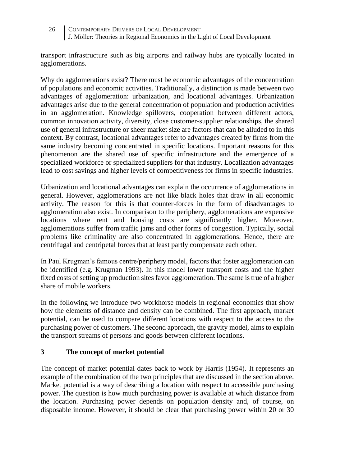transport infrastructure such as big airports and railway hubs are typically located in agglomerations.

Why do agglomerations exist? There must be economic advantages of the concentration of populations and economic activities. Traditionally, a distinction is made between two advantages of agglomeration: urbanization, and locational advantages. Urbanization advantages arise due to the general concentration of population and production activities in an agglomeration. Knowledge spillovers, cooperation between different actors, common innovation activity, diversity, close customer-supplier relationships, the shared use of general infrastructure or sheer market size are factors that can be alluded to in this context. By contrast, locational advantages refer to advantages created by firms from the same industry becoming concentrated in specific locations. Important reasons for this phenomenon are the shared use of specific infrastructure and the emergence of a specialized workforce or specialized suppliers for that industry. Localization advantages lead to cost savings and higher levels of competitiveness for firms in specific industries.

Urbanization and locational advantages can explain the occurrence of agglomerations in general. However, agglomerations are not like black holes that draw in all economic activity. The reason for this is that counter-forces in the form of disadvantages to agglomeration also exist. In comparison to the periphery, agglomerations are expensive locations where rent and housing costs are significantly higher. Moreover, agglomerations suffer from traffic jams and other forms of congestion. Typically, social problems like criminality are also concentrated in agglomerations. Hence, there are centrifugal and centripetal forces that at least partly compensate each other.

In Paul Krugman's famous centre/periphery model, factors that foster agglomeration can be identified (e.g. Krugman 1993). In this model lower transport costs and the higher fixed costs of setting up production sites favor agglomeration. The same is true of a higher share of mobile workers.

In the following we introduce two workhorse models in regional economics that show how the elements of distance and density can be combined. The first approach, market potential, can be used to compare different locations with respect to the access to the purchasing power of customers. The second approach, the gravity model, aims to explain the transport streams of persons and goods between different locations.

#### **3 The concept of market potential**

The concept of market potential dates back to work by Harris (1954). It represents an example of the combination of the two principles that are discussed in the section above. Market potential is a way of describing a location with respect to accessible purchasing power. The question is how much purchasing power is available at which distance from the location. Purchasing power depends on population density and, of course, on disposable income. However, it should be clear that purchasing power within 20 or 30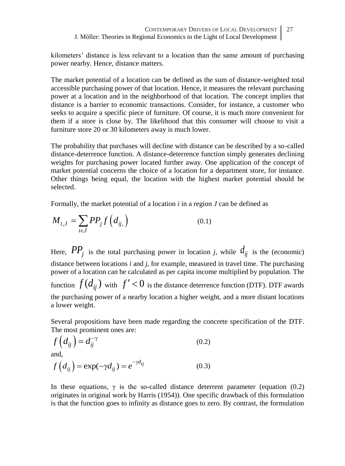kilometers' distance is less relevant to a location than the same amount of purchasing power nearby. Hence, distance matters.

The market potential of a location can be defined as the sum of distance-weighted total accessible purchasing power of that location. Hence, it measures the relevant purchasing power at a location and in the neighborhood of that location. The concept implies that distance is a barrier to economic transactions. Consider, for instance, a customer who seeks to acquire a specific piece of furniture. Of course, it is much more convenient for them if a store is close by. The likelihood that this consumer will choose to visit a furniture store 20 or 30 kilometers away is much lower.

The probability that purchases will decline with distance can be described by a so-called distance-deterrence function. A distance-deterrence function simply generates declining weights for purchasing power located further away. One application of the concept of market potential concerns the choice of a location for a department store, for instance. Other things being equal, the location with the highest market potential should be selected.

Formally, the market potential of a location *i* in a region *J* can be defined as

$$
M_{i,J} = \sum_{i \in J} PP_j f\left(d_{ij}\right) \tag{0.1}
$$

Here,  $PP_j$  is the total purchasing power in location *j*, while  $d_{ij}$  is the (economic) distance between locations *i* and *j*, for example, measured in travel time. The purchasing power of a location can be calculated as per capita income multiplied by population. The function  $f(d_{ij})$  with  $f' < 0$  is the distance deterrence function (DTF). DTF awards the purchasing power of a nearby location a higher weight, and a more distant locations a lower weight.

Several propositions have been made regarding the concrete specification of the DTF. The most prominent ones are:

$$
f\left(d_{ij}\right) = d_{ij}^{-\gamma} \tag{0.2}
$$

and,

$$
f\left(d_{ij}\right) = \exp(-\gamma d_{ij}) = e^{-\gamma d_{ij}} \tag{0.3}
$$

In these equations,  $\gamma$  is the so-called distance deterrent parameter (equation (0.2) originates in original work by Harris (1954)). One specific drawback of this formulation is that the function goes to infinity as distance goes to zero. By contrast, the formulation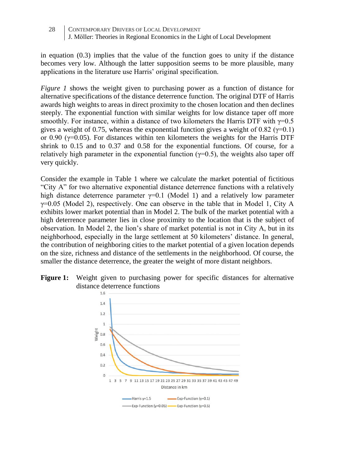in equation  $(0.3)$  implies that the value of the function goes to unity if the distance becomes very low. Although the latter supposition seems to be more plausible, many applications in the literature use Harris' original specification.

*Figure 1* shows the weight given to purchasing power as a function of distance for alternative specifications of the distance deterrence function. The original DTF of Harris awards high weights to areas in direct proximity to the chosen location and then declines steeply. The exponential function with similar weights for low distance taper off more smoothly. For instance, within a distance of two kilometers the Harris DTF with  $\gamma=0.5$ gives a weight of 0.75, whereas the exponential function gives a weight of 0.82 ( $\gamma$ =0.1) or 0.90 ( $y=0.05$ ). For distances within ten kilometers the weights for the Harris DTF shrink to 0.15 and to 0.37 and 0.58 for the exponential functions. Of course, for a relatively high parameter in the exponential function ( $\gamma=0.5$ ), the weights also taper off very quickly.

Consider the example in Table 1 where we calculate the market potential of fictitious "City A" for two alternative exponential distance deterrence functions with a relatively high distance deterrence parameter  $\gamma=0.1$  (Model 1) and a relatively low parameter  $\gamma$ =0.05 (Model 2), respectively. One can observe in the table that in Model 1, City A exhibits lower market potential than in Model 2. The bulk of the market potential with a high deterrence parameter lies in close proximity to the location that is the subject of observation. In Model 2, the lion's share of market potential is not in City A, but in its neighborhood, especially in the large settlement at 50 kilometers' distance. In general, the contribution of neighboring cities to the market potential of a given location depends on the size, richness and distance of the settlements in the neighborhood. Of course, the smaller the distance deterrence, the greater the weight of more distant neighbors.

**Figure 1:** Weight given to purchasing power for specific distances for alternative distance deterrence functions

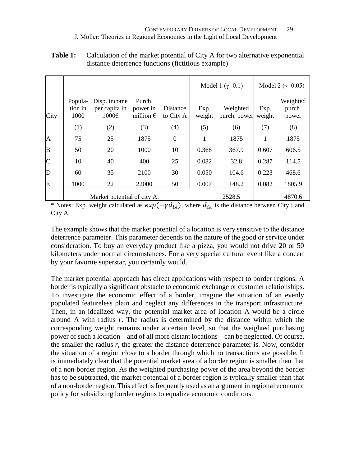|      |                                   |                                                    |                                                 |                              |                       | Model 1 $(y=0.1)$               | Model 2 ( $\gamma$ =0.05) |                                    |
|------|-----------------------------------|----------------------------------------------------|-------------------------------------------------|------------------------------|-----------------------|---------------------------------|---------------------------|------------------------------------|
| City | Popula-<br>tion in<br>1000<br>(1) | Disp. income<br>per capita in<br>$1000 \in$<br>(2) | Purch.<br>power in<br>million $\epsilon$<br>(3) | Distance<br>to City A<br>(4) | Exp.<br>weight<br>(5) | Weighted<br>purch. power<br>(6) | Exp.<br>weight<br>(7)     | Weighted<br>purch.<br>power<br>(8) |
| A    | 75                                | 25                                                 | 1875                                            | $\overline{0}$               |                       | 1875                            | 1                         | 1875                               |
| B    | 50                                | 20                                                 | 1000                                            | 10                           | 0.368                 | 367.9                           | 0.607                     | 606.5                              |
| C    | 10                                | 40                                                 | 400                                             | 25                           | 0.082                 | 32.8                            | 0.287                     | 114.5                              |
| D    | 60                                | 35                                                 | 2100                                            | 30                           | 0.050                 | 104.6                           | 0.223                     | 468.6                              |
| Ε    | 1000                              | 22                                                 | 22000                                           | 50                           | 0.007                 | 148.2                           | 0.082                     | 1805.9                             |
|      | Market potential of city A:       |                                                    |                                                 |                              | 2528.5                |                                 | 4870.6                    |                                    |

### **Table 1:** Calculation of the market potential of City A for two alternative exponential distance deterrence functions (fictitious example)

\* Notes: Exp. weight calculated as  $exp(-\gamma d_{iA})$ , where  $d_{iA}$  is the distance between City i and City A.

The example shows that the market potential of a location is very sensitive to the distance deterrence parameter. This parameter depends on the nature of the good or service under consideration. To buy an everyday product like a pizza, you would not drive 20 or 50 kilometers under normal circumstances. For a very special cultural event like a concert by your favorite superstar, you certainly would.

The market potential approach has direct applications with respect to border regions. A border is typically a significant obstacle to economic exchange or customer relationships. To investigate the economic effect of a border, imagine the situation of an evenly populated featureless plain and neglect any differences in the transport infrastructure. Then, in an idealized way, the potential market area of location A would be a circle around A with radius *r*. The radius is determined by the distance within which the corresponding weight remains under a certain level, so that the weighted purchasing power of such a location – and of all more distant locations – can be neglected. Of course, the smaller the radius *r,* the greater the distance deterrence parameter is. Now, consider the situation of a region close to a border through which no transactions are possible. It is immediately clear that the potential market area of a border region is smaller than that of a non-border region. As the weighted purchasing power of the area beyond the border has to be subtracted, the market potential of a border region is typically smaller than that of a non-border region. This effect is frequently used as an argument in regional economic policy for subsidizing border regions to equalize economic conditions.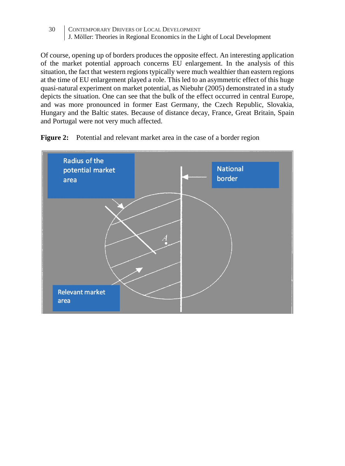Of course, opening up of borders produces the opposite effect. An interesting application of the market potential approach concerns EU enlargement. In the analysis of this situation, the fact that western regions typically were much wealthier than eastern regions at the time of EU enlargement played a role. This led to an asymmetric effect of this huge quasi-natural experiment on market potential, as Niebuhr (2005) demonstrated in a study depicts the situation. One can see that the bulk of the effect occurred in central Europe, and was more pronounced in former East Germany, the Czech Republic, Slovakia, Hungary and the Baltic states. Because of distance decay, France, Great Britain, Spain and Portugal were not very much affected.



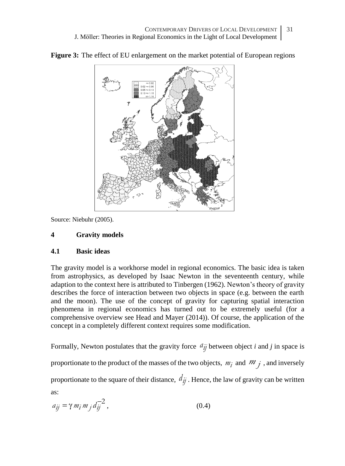

**Figure 3:** The effect of EU enlargement on the market potential of European regions

Source: Niebuhr (2005).

### **4 Gravity models**

#### **4.1 Basic ideas**

The gravity model is a workhorse model in regional economics. The basic idea is taken from astrophysics, as developed by Isaac Newton in the seventeenth century, while adaption to the context here is attributed to Tinbergen (1962). Newton's theory of gravity describes the force of interaction between two objects in space (e.g. between the earth and the moon). The use of the concept of gravity for capturing spatial interaction phenomena in regional economics has turned out to be extremely useful (for a comprehensive overview see Head and Mayer (2014)). Of course, the application of the concept in a completely different context requires some modification.

Formally, Newton postulates that the gravity force  $a_{ij}$  between object *i* and *j* in space is

proportionate to the product of the masses of the two objects,  $m_i$  and  $m_j$ , and inversely

proportionate to the square of their distance,  $d_{ij}$ . Hence, the law of gravity can be written

as:

$$
a_{ij} = \gamma m_i m_j d_{ij}^{-2}, \qquad (0.4)
$$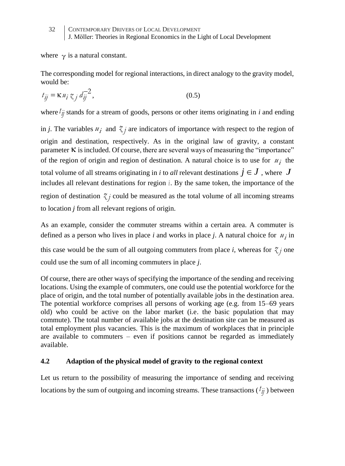where  $\gamma$  is a natural constant.

The corresponding model for regional interactions, in direct analogy to the gravity model, would be:

$$
t_{ij} = \kappa u_i \, \zeta_j \, d_{ij}^{-2},\tag{0.5}
$$

where  $\ell_{ij}$  stands for a stream of goods, persons or other items originating in *i* and ending

in *j*. The variables  $u_i$  and  $\zeta_j$  are indicators of importance with respect to the region of origin and destination, respectively. As in the original law of gravity, a constant parameter  $\kappa$  is included. Of course, there are several ways of measuring the "importance" of the region of origin and region of destination. A natural choice is to use for  $u_i$  the total volume of all streams originating in  $i$  to  $all$  relevant destinations  $j \in J$  , where  $J$ includes all relevant destinations for region *i* . By the same token, the importance of the region of destination  $\chi$  could be measured as the total volume of all incoming streams to location *j* from all relevant regions of origin.

As an example, consider the commuter streams within a certain area. A commuter is defined as a person who lives in place *i* and works in place *j*. A natural choice for  $u_j$  in this case would be the sum of all outgoing commuters from place *i*, whereas for  $\chi_j$  one could use the sum of all incoming commuters in place *j*.

Of course, there are other ways of specifying the importance of the sending and receiving locations. Using the example of commuters, one could use the potential workforce for the place of origin, and the total number of potentially available jobs in the destination area. The potential workforce comprises all persons of working age (e.g. from 15–69 years old) who could be active on the labor market (i.e. the basic population that may commute). The total number of available jobs at the destination site can be measured as total employment plus vacancies. This is the maximum of workplaces that in principle are available to commuters  $-$  even if positions cannot be regarded as immediately available.

#### **4.2 Adaption of the physical model of gravity to the regional context**

Let us return to the possibility of measuring the importance of sending and receiving locations by the sum of outgoing and incoming streams. These transactions  $(\ell_{ij}^i)$  between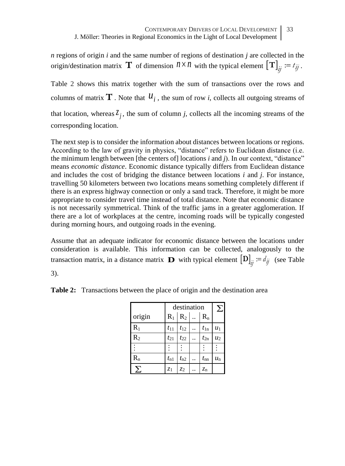*n* regions of origin *i* and the same number of regions of destination *j* are collected in the origin/destinationmatrix **T** of dimension  $n \times n$  with the typical element  $[T]_{ij} := t_{ij}$ .

[Table 2](#page-10-0) shows this matrix together with the sum of transactions over the rows and columns of matrix  $T$  . Note that  $u_i$ , the sum of row *i*, collects all outgoing streams of that location, whereas  $\zeta_j$ , the sum of column *j*, collects all the incoming streams of the corresponding location.

The next step is to consider the information about distances between locations or regions. According to the law of gravity in physics, "distance" refers to Euclidean distance (i.e. the minimum length between [the centers of] locations *i* and *j*). In our context, "distance" means *economic distance*. Economic distance typically differs from Euclidean distance and includes the cost of bridging the distance between locations *i* and *j*. For instance, travelling 50 kilometers between two locations means something completely different if there is an express highway connection or only a sand track. Therefore, it might be more appropriate to consider travel time instead of total distance. Note that economic distance is not necessarily symmetrical. Think of the traffic jams in a greater agglomeration. If there are a lot of workplaces at the centre, incoming roads will be typically congested during morning hours, and outgoing roads in the evening.

Assume that an adequate indicator for economic distance between the locations under consideration is available. This information can be collected, analogously to the transaction matrix, in a distance matrix **D** with typical element  $\left[\mathbf{D}\right]_{ij} := d_{ij}$  (see Table

<span id="page-10-0"></span>3).

**Table 2:** Transactions between the place of origin and the destination area

|           | destination<br>$R_2$<br>$R_1$<br>$t_{11}$<br>$t_{12}$<br>$t_{1n}$<br>$t_{21}$<br>$t_{22}$<br>$t_{2n}$<br>$t_{n1}$<br>$t_{n2}$<br>$t_{\rm nn}$ |                |  |                         | Σ       |
|-----------|-----------------------------------------------------------------------------------------------------------------------------------------------|----------------|--|-------------------------|---------|
| origin    |                                                                                                                                               |                |  | $\mathbf{R}_\mathrm{n}$ |         |
| $\rm R_1$ |                                                                                                                                               |                |  |                         | $u_1$   |
| $R_2$     |                                                                                                                                               |                |  |                         | $u_2$   |
|           |                                                                                                                                               |                |  |                         |         |
| $R_n$     |                                                                                                                                               |                |  |                         | $u_{n}$ |
|           | z <sub>1</sub>                                                                                                                                | z <sub>2</sub> |  | $z_{n}$                 |         |
|           |                                                                                                                                               |                |  |                         |         |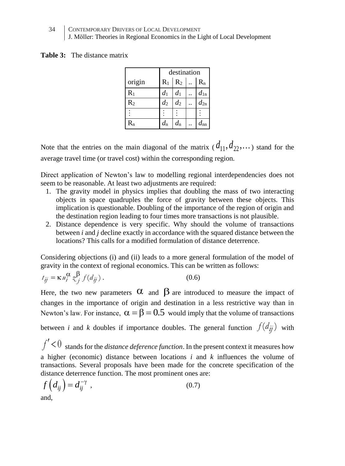**Table 3:** The distance matrix

|           | destination      |             |  |          |  |
|-----------|------------------|-------------|--|----------|--|
| origin    | $R_1$            | $R_2$       |  | $R_{n}$  |  |
| $\rm R_1$ | $d_1$            | $d_1$       |  | $d_{1n}$ |  |
| $R_2$     | $d_2$            | $d_2$       |  | $d_{2n}$ |  |
|           |                  |             |  |          |  |
| $\rm R_n$ | $d_{\mathsf{n}}$ | $d_{\rm n}$ |  |          |  |
|           |                  |             |  |          |  |

Note that the entries on the main diagonal of the matrix  $(d_{11}, d_{22}, \dots)$  stand for the average travel time (or travel cost) within the corresponding region.

Direct application of Newton's law to modelling regional interdependencies does not seem to be reasonable. At least two adjustments are required:

- 1. The gravity model in physics implies that doubling the mass of two interacting objects in space quadruples the force of gravity between these objects. This implication is questionable. Doubling of the importance of the region of origin and the destination region leading to four times more transactions is not plausible.
- 2. Distance dependence is very specific. Why should the volume of transactions between *i* and *j* decline exactly in accordance with the squared distance between the locations? This calls for a modified formulation of distance deterrence.

Considering objections (i) and (ii) leads to a more general formulation of the model of gravity in the context of regional economics. This can be written as follows:

$$
t_{ij} = \kappa u_i^{\alpha} z_j^{\beta} f(d_{ij}).
$$
\n(0.6)

Here, the two new parameters  $\alpha$  and  $\beta$  are introduced to measure the impact of changes in the importance of origin and destination in a less restrictive way than in Newton's law. For instance,  $\alpha = \beta = 0.5$  would imply that the volume of transactions

between *i* and *k* doubles if importance doubles. The general function  $f(d_{ij})$  with

 $f'$  < 0 stands for the *distance deference function*. In the present context it measures how a higher (economic) distance between locations *i* and *k* influences the volume of transactions. Several proposals have been made for the concrete specification of the distance deterrence function. The most prominent ones are:

$$
f\left(d_{ij}\right) = d_{ij}^{-\gamma} , \qquad (0.7)
$$
\nand,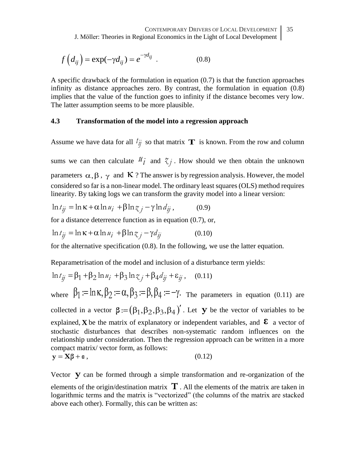$$
f\left(d_{ij}\right) = \exp(-\gamma d_{ij}) = e^{-\gamma d_{ij}}.
$$
 (0.8)

A specific drawback of the formulation in equation (0.7) is that the function approaches infinity as distance approaches zero. By contrast, the formulation in equation (0.8) implies that the value of the function goes to infinity if the distance becomes very low. The latter assumption seems to be more plausible.

#### **4.3 Transformation of the model into a regression approach**

Assume we have data for all  $t_{ij}$  so that matrix **T** is known. From the row and column

sums we can then calculate  $\mathcal{U}_i$  and  $\mathcal{Z}_j$ . How should we then obtain the unknown parameters  $\alpha, \beta, \gamma$  and K ? The answer is by regression analysis. However, the model considered so far is a non-linear model. The ordinary least squares (OLS) method requires linearity. By taking logs we can transform the gravity model into a linear version:

$$
\ln t_{ij} = \ln \kappa + \alpha \ln u_i + \beta \ln z_j - \gamma \ln d_{ij}, \qquad (0.9)
$$

for a distance deterrence function as in equation (0.7), or,

$$
\ln t_{jj} = \ln \kappa + \alpha \ln u_i + \beta \ln z_j - \gamma d_{jj}
$$
 (0.10)

for the alternative specification (0.8). In the following, we use the latter equation.

Reparametrisation of the model and inclusion of a disturbance term yields:

$$
\ln t_{ij} = \beta_1 + \beta_2 \ln u_i + \beta_3 \ln z_j + \beta_4 d_{ij} + \varepsilon_{ij}, \quad (0.11)
$$

where  $\beta_1 := \ln \kappa, \beta_2 := \alpha, \beta_3 := \beta, \beta_4 := -\gamma$ . The parameters in equation (0.11) are collected in a vector  $\beta = (\beta_1, \beta_2, \beta_3, \beta_4)'$ . Let **y** be the vector of variables to be explained, **X** be the matrix of explanatory or independent variables, and  $\epsilon$  a vector of stochastic disturbances that describes non-systematic random influences on the relationship under consideration. Then the regression approach can be written in a more compact matrix/ vector form, as follows:  $y = X\beta + \epsilon$ , (0.12)

Vector **y** can be formed through a simple transformation and re-organization of the elements of the origin/destination matrix  $\mathbf T$ . All the elements of the matrix are taken in logarithmic terms and the matrix is "vectorized" (the columns of the matrix are stacked above each other). Formally, this can be written as: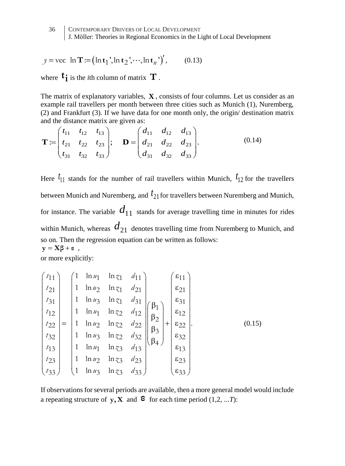$$
y = \text{vec} \ln \mathbf{T} := (\ln \mathbf{t}_1', \ln \mathbf{t}_2', \cdots, \ln \mathbf{t}_n')', \qquad (0.13)
$$

where  $\mathbf{t}_{\mathbf{i}}$  is the *i*th column of matrix  $\mathbf{T}$ .

The matrix of explanatory variables, **X** , consists of four columns. Let us consider as an example rail travellers per month between three cities such as Munich (1), Nuremberg, (2) and Frankfurt (3). If we have data for one month only, the origin/ destination matrix and the distance matrix are given as:

$$
\mathbf{T} := \begin{pmatrix} t_{11} & t_{12} & t_{13} \\ t_{21} & t_{22} & t_{23} \\ t_{31} & t_{32} & t_{33} \end{pmatrix}; \quad \mathbf{D} = \begin{pmatrix} d_{11} & d_{12} & d_{13} \\ d_{21} & d_{22} & d_{23} \\ d_{31} & d_{32} & d_{33} \end{pmatrix}.
$$
 (0.14)

Here  $t_{11}$  stands for the number of rail travellers within Munich,  $t_{12}$  for the travellers between Munich and Nuremberg, and 21 *t* for travellers between Nuremberg and Munich, for instance. The variable  $d_{11}$  stands for average travelling time in minutes for rides within Munich, whereas  $d_{21}$  denotes travelling time from Nuremberg to Munich, and so on. Then the regression equation can be written as follows:  $y = X\beta + \epsilon$ ,

or more explicitly:

$$
\begin{pmatrix}\nt_{11} \\
t_{21} \\
t_{31} \\
t_{12} \\
t_{22} \\
t_{33}\n\end{pmatrix} = \begin{pmatrix}\n1 & \ln u_1 & \ln z_1 & d_{11} \\
1 & \ln u_2 & \ln z_1 & d_{21} \\
1 & \ln u_3 & \ln z_1 & d_{31} \\
1 & \ln u_1 & \ln z_2 & d_{12} \\
1 & \ln u_2 & \ln z_2 & d_{22} \\
1 & \ln u_3 & \ln z_2 & d_{32} \\
1 & \ln u_3 & \ln z_3 & d_{33}\n\end{pmatrix} \begin{pmatrix}\n\beta_1 \\
\beta_2 \\
\beta_3 \\
\beta_4\n\end{pmatrix} + \begin{pmatrix}\n\epsilon_{11} \\
\epsilon_{21} \\
\epsilon_{31} \\
\epsilon_{12} \\
\epsilon_{22} \\
\epsilon_{32} \\
\epsilon_{33}\n\end{pmatrix} .
$$
\n(0.15)

If observations for several periods are available, then a more general model would include a repeating structure of  $y$ ,  $X$  and  $\epsilon$  for each time period (1,2, ...*T*):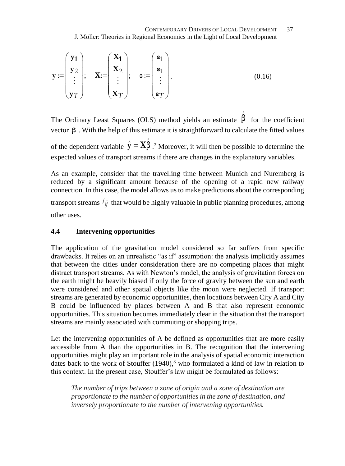$$
\mathbf{y} := \begin{pmatrix} \mathbf{y_1} \\ \mathbf{y_2} \\ \vdots \\ \mathbf{y_T} \end{pmatrix}; \quad \mathbf{X} := \begin{pmatrix} \mathbf{X_1} \\ \mathbf{X_2} \\ \vdots \\ \mathbf{X_T} \end{pmatrix}; \quad \mathbf{\varepsilon} := \begin{pmatrix} \mathbf{\varepsilon_1} \\ \mathbf{\varepsilon_1} \\ \vdots \\ \mathbf{\varepsilon_T} \end{pmatrix}.
$$
 (0.16)

The Ordinary Least Squares (OLS) method yields an estimate  $\hat{\beta}$  for the coefficient vector **β** . With the help of this estimate it is straightforward to calculate the fitted values of the dependent variable  $\hat{y} = X\hat{\beta}$ .<sup>2</sup> Moreover, it will then be possible to determine the expected values of transport streams if there are changes in the explanatory variables.

As an example, consider that the travelling time between Munich and Nuremberg is reduced by a significant amount because of the opening of a rapid new railway connection. In this case, the model allows us to make predictions about the corresponding transport streams  $t_{ij}$  that would be highly valuable in public planning procedures, among other uses.

# **4.4 Intervening opportunities**

The application of the gravitation model considered so far suffers from specific drawbacks. It relies on an unrealistic "as if" assumption: the analysis implicitly assumes that between the cities under consideration there are no competing places that might distract transport streams. As with Newton's model, the analysis of gravitation forces on the earth might be heavily biased if only the force of gravity between the sun and earth were considered and other spatial objects like the moon were neglected. If transport streams are generated by economic opportunities, then locations between City A and City B could be influenced by places between A and B that also represent economic opportunities. This situation becomes immediately clear in the situation that the transport streams are mainly associated with commuting or shopping trips.

Let the intervening opportunities of A be defined as opportunities that are more easily accessible from A than the opportunities in B. The recognition that the intervening opportunities might play an important role in the analysis of spatial economic interaction dates back to the work of Stouffer  $(1940)$ ,<sup>3</sup> who formulated a kind of law in relation to this context. In the present case, Stouffer's law might be formulated as follows:

*The number of trips between a zone of origin and a zone of destination are proportionate to the number of opportunities in the zone of destination, and inversely proportionate to the number of intervening opportunities.*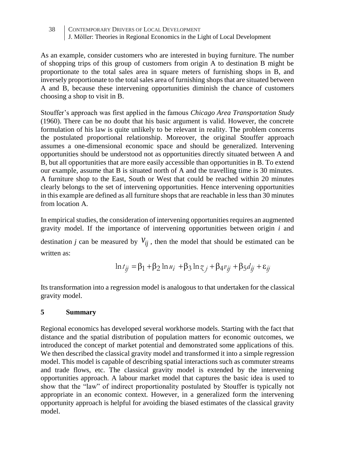As an example, consider customers who are interested in buying furniture. The number of shopping trips of this group of customers from origin A to destination B might be proportionate to the total sales area in square meters of furnishing shops in B, and inversely proportionate to the total sales area of furnishing shops that are situated between A and B, because these intervening opportunities diminish the chance of customers choosing a shop to visit in B.

Stouffer's approach was first applied in the famous *Chicago Area Transportation Study* (1960). There can be no doubt that his basic argument is valid. However, the concrete formulation of his law is quite unlikely to be relevant in reality. The problem concerns the postulated proportional relationship. Moreover, the original Stouffer approach assumes a one-dimensional economic space and should be generalized. Intervening opportunities should be understood not as opportunities directly situated between A and B, but all opportunities that are more easily accessible than opportunities in B. To extend our example, assume that B is situated north of A and the travelling time is 30 minutes. A furniture shop to the East, South or West that could be reached within 20 minutes clearly belongs to the set of intervening opportunities. Hence intervening opportunities in this example are defined as all furniture shops that are reachable in less than 30 minutes from location A.

In empirical studies, the consideration of intervening opportunities requires an augmented gravity model. If the importance of intervening opportunities between origin *i* and destination *j* can be measured by  $V_{ij}$ , then the model that should be estimated can be written as:

$$
\ln t_{ij} = \beta_1 + \beta_2 \ln u_i + \beta_3 \ln z_j + \beta_4 v_{ij} + \beta_5 d_{ij} + \varepsilon_{ij}
$$

Its transformation into a regression model is analogous to that undertaken for the classical gravity model.

#### **5 Summary**

Regional economics has developed several workhorse models. Starting with the fact that distance and the spatial distribution of population matters for economic outcomes, we introduced the concept of market potential and demonstrated some applications of this. We then described the classical gravity model and transformed it into a simple regression model. This model is capable of describing spatial interactions such as commuter streams and trade flows, etc. The classical gravity model is extended by the intervening opportunities approach. A labour market model that captures the basic idea is used to show that the "law" of indirect proportionality postulated by Stouffer is typically not appropriate in an economic context. However, in a generalized form the intervening opportunity approach is helpful for avoiding the biased estimates of the classical gravity model.